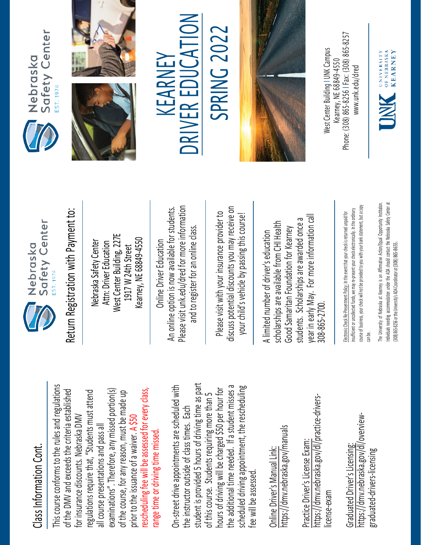## Class Information Cont. Class Information Cont

This course conforms to the rules and regulations This course conforms to the rules and regulations rescheduling fee will be assessed for every class, examinations". Therefore, any missed portion(s) of the DMV and exceeds the criteria established regulations require that, "Students must attend of the DMV and exceeds the criteria established of the course, for any reason, must be made up rescheduling fee will be assessed for every class, regulations require that, "Students must attend examinations". Therefore, any missed portion(s) of the course, for any reason, must be made up for insurance discounts. Nebraska DMV for insurance discounts. Nebraska DMV prior to the issuance of a waiver. A \$50 all course presentations and pass all all course presentations and pass all range time or driving time missed. prior to the issuance of a waiver. range time or driving time missed

student is provided 5 hours of driving time as part On-street drive appointments are scheduled with student is provided 5 hours of driving time as part the additional time needed. If a student misses a scheduled driving appointment, the rescheduling the additional time needed. If a student misses a On-street drive appointments are scheduled with hours of driving will be charged \$50 per hour for scheduled driving appointment, the rescheduling hours of driving will be charged \$50 per hour for of this course. Students requiring more than 5 of this course. Students requiring more than 5 the instructor outside of class times. Each the instructor outside of class times. Each fee will be assessed. fee will be assessed

https://dmv.nebraska.gov/manuals https://dmv.nebraska.gov/manuals Online Driver's Manual Link: Online Driver's Manual Link:

https://dmv.nebraska.gov/dl/practice-drivershttps://dmv.nebraska.gov/dl/practice-drivers-Practice Driver's License Exam: Practice Driver's License Exam license-exam license-exam

https://dmv.nebraska.gov/dl/overviewhttps://dmv.nebraska.gov/dl/overview· Graduated Driver's Licensing: Graduated Driver's Licensing graduated-drivers-licensing graduated-drivers-licensing



Return Registration with Payment to: Return Registration with Payment to:

West Center Building, 227E West Center Building, 227E Kearney, NE 68849-4550 Kearney, NE 68849-4550 Nebraska Safety Center Attn: Driver Education Nebraska Safety Center Attn: Driver Education 1917 W 24th Street 1917 W 24th Street

Please visit unk.edu/dred for more information An online option is now available for students. Please visit unk.edu/dred for more information An online option is now available for students. and to register for an online class. and to register for an online class Online Driver Education Online Driver Education

discuss potential discounts you may receive on discuss potential discounts you may receive on Please visit with your insurance provider to Please visit with your insurance provider to your child's vehicle by passing this course! your child's vehicle by passing this course!

A limited number of driver's education<br>scholarships are available from CHI Hea<br>Good Samaritan Foundation for Kearne<br>students. Scholarships are awarded on<br>year in early May. For more information<br>angularity of the May and th scholarships are available from CHI Health Good Samaritan Foundation for Kearney<br>students. Scholarships are awarded once a year in early May. For more information call 308-865-2700.

Electronic Check Re-Presentment Policy: In the event that your check is returned unpaid for insufficient or uncollected funds, we may re-present your check electronically. In the ordinary course of business, your check will not be provided to you with your bank statement, but a copy can be. The University of Nebraska at Kearney is an Affirmative Action/Equal Opportunity In stitution. ndividuals I needing accommodation under the ADA should contact the Nebraska Safety Center at









## $\sum_{i=1}^{n}$  $\overline{V}$ 2 SPRING 202 R EDUCA KEARNEY KEARNEY E RIV **NC**



Phone: (308) 865-8256 | Fax: (308) 865-8257 West Center Building I UNK Campus West Center Building | UNK Campus -8256 I Fax: (308) 865 Kearney. NE 68849-4550 www.unk.edu/dred [www.unk.edu/dred](http://www.unk.edu/dred) Kearney, NE 68849 Phone: (308) 865

OF NEBRASKA **KEARNEY** UNIVERSITY JNK